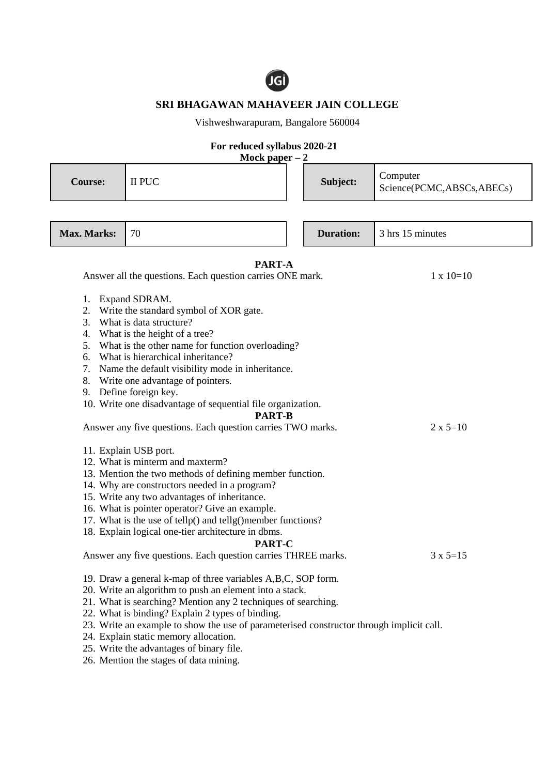

## **SRI BHAGAWAN MAHAVEER JAIN COLLEGE**

Vishweshwarapuram, Bangalore 560004

## **For reduced syllabus 2020-21**

**Mock paper – 2**

| <b>Course:</b>                                                                                                                                                                                                                                                                                                                                                                                                                                                                                                      | II PUC |  | Subject:         | Computer<br>Science(PCMC,ABSCs,ABECs) |
|---------------------------------------------------------------------------------------------------------------------------------------------------------------------------------------------------------------------------------------------------------------------------------------------------------------------------------------------------------------------------------------------------------------------------------------------------------------------------------------------------------------------|--------|--|------------------|---------------------------------------|
| Max. Marks:                                                                                                                                                                                                                                                                                                                                                                                                                                                                                                         | 70     |  | <b>Duration:</b> | 3 hrs 15 minutes                      |
| PART-A<br>Answer all the questions. Each question carries ONE mark.                                                                                                                                                                                                                                                                                                                                                                                                                                                 |        |  |                  | $1 \times 10=10$                      |
| 1. Expand SDRAM.<br>Write the standard symbol of XOR gate.<br>2.<br>What is data structure?<br>3.<br>4.<br>What is the height of a tree?<br>What is the other name for function overloading?<br>5.<br>What is hierarchical inheritance?<br>6.<br>Name the default visibility mode in inheritance.<br>7.<br>8. Write one advantage of pointers.<br>9. Define foreign key.<br>10. Write one disadvantage of sequential file organization.<br><b>PART-B</b>                                                            |        |  |                  |                                       |
| Answer any five questions. Each question carries TWO marks.<br>$2 \times 5=10$<br>11. Explain USB port.<br>12. What is minterm and maxterm?<br>13. Mention the two methods of defining member function.<br>14. Why are constructors needed in a program?<br>15. Write any two advantages of inheritance.<br>16. What is pointer operator? Give an example.<br>17. What is the use of tellp() and tellg()member functions?<br>18. Explain logical one-tier architecture in dbms.<br><b>PART-C</b>                    |        |  |                  |                                       |
| Answer any five questions. Each question carries THREE marks.<br>$3 \times 5 = 15$<br>19. Draw a general k-map of three variables A,B,C, SOP form.<br>20. Write an algorithm to push an element into a stack.<br>21. What is searching? Mention any 2 techniques of searching.<br>22. What is binding? Explain 2 types of binding.<br>23. Write an example to show the use of parameterised constructor through implicit call.<br>24. Explain static memory allocation.<br>25. Write the advantages of binary file. |        |  |                  |                                       |

26. Mention the stages of data mining.